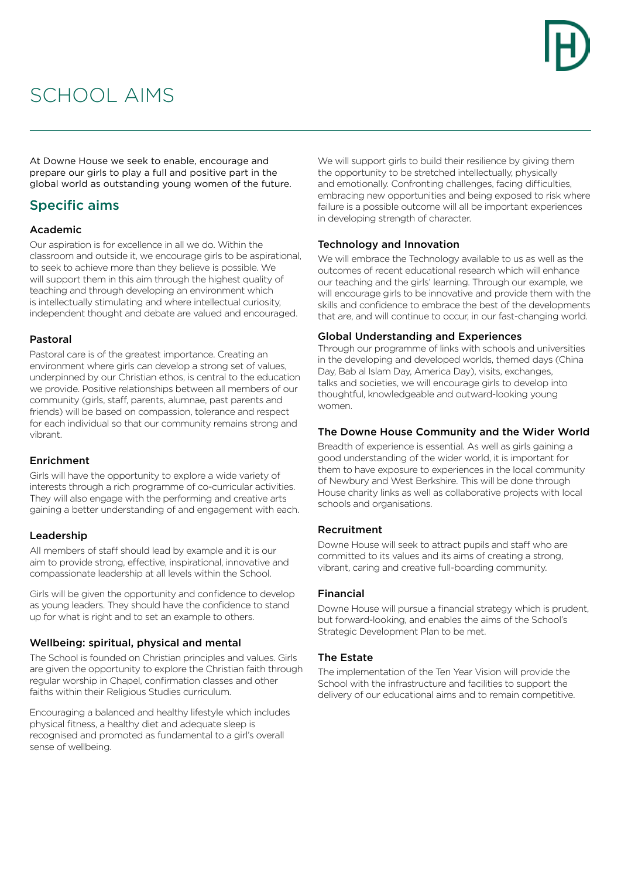## SCHOOL AIMS

At Downe House we seek to enable, encourage and prepare our girls to play a full and positive part in the global world as outstanding young women of the future.

### Specific aims

#### Academic

Our aspiration is for excellence in all we do. Within the classroom and outside it, we encourage girls to be aspirational, to seek to achieve more than they believe is possible. We will support them in this aim through the highest quality of teaching and through developing an environment which is intellectually stimulating and where intellectual curiosity, independent thought and debate are valued and encouraged.

#### Pastoral

Pastoral care is of the greatest importance. Creating an environment where girls can develop a strong set of values, underpinned by our Christian ethos, is central to the education we provide. Positive relationships between all members of our community (girls, staff, parents, alumnae, past parents and friends) will be based on compassion, tolerance and respect for each individual so that our community remains strong and vibrant.

#### Enrichment

Girls will have the opportunity to explore a wide variety of interests through a rich programme of co-curricular activities. They will also engage with the performing and creative arts gaining a better understanding of and engagement with each.

#### Leadership

All members of staff should lead by example and it is our aim to provide strong, effective, inspirational, innovative and compassionate leadership at all levels within the School.

Girls will be given the opportunity and confidence to develop as young leaders. They should have the confidence to stand up for what is right and to set an example to others.

#### Wellbeing: spiritual, physical and mental

The School is founded on Christian principles and values. Girls are given the opportunity to explore the Christian faith through regular worship in Chapel, confirmation classes and other faiths within their Religious Studies curriculum.

Encouraging a balanced and healthy lifestyle which includes physical fitness, a healthy diet and adequate sleep is recognised and promoted as fundamental to a girl's overall sense of wellbeing.

We will support girls to build their resilience by giving them the opportunity to be stretched intellectually, physically and emotionally. Confronting challenges, facing difficulties, embracing new opportunities and being exposed to risk where failure is a possible outcome will all be important experiences in developing strength of character.

#### Technology and Innovation

We will embrace the Technology available to us as well as the outcomes of recent educational research which will enhance our teaching and the girls' learning. Through our example, we will encourage girls to be innovative and provide them with the skills and confidence to embrace the best of the developments that are, and will continue to occur, in our fast-changing world.

#### Global Understanding and Experiences

Through our programme of links with schools and universities in the developing and developed worlds, themed days (China Day, Bab al Islam Day, America Day), visits, exchanges, talks and societies, we will encourage girls to develop into thoughtful, knowledgeable and outward-looking young women.

#### The Downe House Community and the Wider World

Breadth of experience is essential. As well as girls gaining a good understanding of the wider world, it is important for them to have exposure to experiences in the local community of Newbury and West Berkshire. This will be done through House charity links as well as collaborative projects with local schools and organisations.

#### Recruitment

Downe House will seek to attract pupils and staff who are committed to its values and its aims of creating a strong, vibrant, caring and creative full-boarding community.

#### Financial

Downe House will pursue a financial strategy which is prudent, but forward-looking, and enables the aims of the School's Strategic Development Plan to be met.

#### The Estate

The implementation of the Ten Year Vision will provide the School with the infrastructure and facilities to support the delivery of our educational aims and to remain competitive.